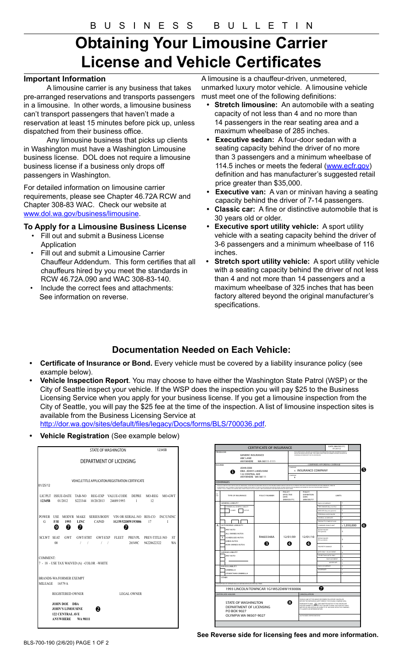# **Obtaining Your Limousine Carrier License and Vehicle Certificates**

### **Important Information**

A limousine carrier is any business that takes pre-arranged reservations and transports passengers in a limousine. In other words, a limousine business can't transport passengers that haven't made a reservation at least 15 minutes before pick up, unless dispatched from their business office.

Any limousine business that picks up clients in Washington must have a Washington Limousine business license. DOL does not require a limousine business license if a business only drops off passengers in Washington.

For detailed information on limousine carrier requirements, please see Chapter 46.72A RCW and Chapter 308-83 WAC. Check our website at www.dol.wa.gov/business/limousine.

### **To Apply for a Limousine Business License**

- Fill out and submit a Business License Application
- Fill out and submit a Limousine Carrier Chauffeur Addendum. This form certifies that all chauffeurs hired by you meet the standards in RCW 46.72A.090 and WAC 308-83-140.
- Include the correct fees and attachments: See information on reverse.

A limousine is a chauffeur-driven, unmetered, unmarked luxury motor vehicle. A limousine vehicle must meet one of the following definitions:

- **Stretch limousine:** An automobile with a seating capacity of not less than 4 and no more than 14 passengers in the rear seating area and a maximum wheelbase of 285 inches.
- **• Executive sedan:** A four-door sedan with a seating capacity behind the driver of no more than 3 passengers and a minimum wheelbase of 114.5 inches or meets the federal (www.ecfr.gov) definition and has manufacturer's suggested retail price greater than \$35,000.
- **Executive van:** A van or minivan having a seating capacity behind the driver of 7-14 passengers.
- **• Classic car:** A fine or distinctive automobile that is 30 years old or older.
- **• Executive sport utility vehicle:** A sport utility vehicle with a seating capacity behind the driver of 3-6 passengers and a minimum wheelbase of 116 inches.
- **• Stretch sport utility vehicle:** A sport utility vehicle with a seating capacity behind the driver of not less than 4 and not more than 14 passengers and a maximum wheelbase of 325 inches that has been factory altered beyond the original manufacturer's specifications.

# **Documentation Needed on Each Vehicle:**

- **• Certificate of Insurance or Bond.** Every vehicle must be covered by a liability insurance policy (see example below).
- **• Vehicle Inspection Report**. You may choose to have either the Washington State Patrol (WSP) or the City of Seattle inspect your vehicle. If the WSP does the inspection you will pay \$25 to the Business Licensing Service when you apply for your business license. If you get a limousine inspection from the City of Seattle, you will pay the \$25 fee at the time of the inspection. A list of limousine inspection sites is available from the Business Licensing Service at

http://dor.wa.gov/sites/default/files/legacy/Docs/forms/BLS/700036.pdf.

**• Vehicle Registration** (See example below)

|                                            | STATE OF WASHINGTON                               |                                                                   |                          |                                                                                                                       |  |   |             | 12345B |  |    |
|--------------------------------------------|---------------------------------------------------|-------------------------------------------------------------------|--------------------------|-----------------------------------------------------------------------------------------------------------------------|--|---|-------------|--------|--|----|
| DEPARTMENT OF LICENSING                    |                                                   |                                                                   |                          |                                                                                                                       |  |   |             |        |  |    |
| 01/25/12                                   | VEHICLE TITLE APPLICATON/REGISTRATION CERTIFICATE |                                                                   |                          |                                                                                                                       |  |   |             |        |  |    |
|                                            |                                                   |                                                                   |                          | LIC/PLT ISSUE-DATE TAB-NO REG-EXP VALUE-CODE DEPRE MO-REG MO-GWT<br>12345B 01/2012 S223344 10/20/2013 24689/1993 1 12 |  |   |             |        |  |    |
| G                                          |                                                   | $\bullet$ $\bullet$ $\bullet$                                     |                          | POWER USE MODYR MAKE SERIES/BODY VIN OR SERIAL-NO RES-CO INC/UNINC<br>F/H 1993 LINC CAP4D 1G1W52D8W193006 17 I        |  | 6 |             |        |  |    |
|                                            |                                                   | 00                                                                |                          | SCLWT SEAT GWT GWT-STRT GWT-EXP FLEET PREVPL PREV-TITLE-NO ST<br>/ / / / 26549C 94228622322                           |  |   |             |        |  | WA |
| <b>COMMENT:</b><br>BRANDS-WA/FORMER EXEMPT |                                                   |                                                                   |                          | 7 - 18 - USE TAX WAIVED (A) -COLOR -WHITE                                                                             |  |   |             |        |  |    |
| MILEAGE 16579 A                            |                                                   | <b>REGISTERED OWNER</b>                                           |                          |                                                                                                                       |  |   | LEGAL OWNER |        |  |    |
|                                            |                                                   | JOHN DOE DBA<br><b>JOHN'S LIMOUSINE</b><br><b>122 CENTRAL AVE</b> | <b>ANYWHERE</b> WA 98111 | ค                                                                                                                     |  |   |             |        |  |    |

|                                                               |                                                                                                                                                                                                                                                                                                                                                           | <b>CERTIFICATE OF INSURANCE</b>                                                                                                      |                                                                                                                                                                                                                                                                                                                                                                      |                                                  |                                                  | DATE (MM/DD/YY)<br>01/25/12                                                                                                                                           |               |  |
|---------------------------------------------------------------|-----------------------------------------------------------------------------------------------------------------------------------------------------------------------------------------------------------------------------------------------------------------------------------------------------------------------------------------------------------|--------------------------------------------------------------------------------------------------------------------------------------|----------------------------------------------------------------------------------------------------------------------------------------------------------------------------------------------------------------------------------------------------------------------------------------------------------------------------------------------------------------------|--------------------------------------------------|--------------------------------------------------|-----------------------------------------------------------------------------------------------------------------------------------------------------------------------|---------------|--|
|                                                               | PRODUCER<br><b>GENERIC INSURANCE</b><br><b>ABC LANE</b><br>ANYWHERE                                                                                                                                                                                                                                                                                       | WA 98111-1111                                                                                                                        |                                                                                                                                                                                                                                                                                                                                                                      |                                                  | COVERAGE AFFORDED BY THE POLICIES BELOW.         | THIS CERTIFICATE IS USSUED AS A MATTER OF INFORMATION ONLY AND CONFERS NO RIGHTS<br>UPON THE CERTIFICATE HOLDER. THIS CERTIFICATE DOES NOT AMEND, EXTEND OR ALTER THE |               |  |
| <b>INSURED</b>                                                |                                                                                                                                                                                                                                                                                                                                                           |                                                                                                                                      |                                                                                                                                                                                                                                                                                                                                                                      |                                                  |                                                  | COMPANIES AFFORDING COVERAGE                                                                                                                                          |               |  |
|                                                               | JOHN DOE<br>т                                                                                                                                                                                                                                                                                                                                             | DBA: JOHN'S LIMOUSINE                                                                                                                |                                                                                                                                                                                                                                                                                                                                                                      | COMPANY                                          | A INSURANCE COMPANY                              |                                                                                                                                                                       |               |  |
|                                                               | 122 CENTRAL AVE<br>ANYWHERE WA 98111                                                                                                                                                                                                                                                                                                                      |                                                                                                                                      |                                                                                                                                                                                                                                                                                                                                                                      | COMPANY<br>R                                     |                                                  |                                                                                                                                                                       |               |  |
|                                                               | <b>COVERAGES</b>                                                                                                                                                                                                                                                                                                                                          |                                                                                                                                      |                                                                                                                                                                                                                                                                                                                                                                      |                                                  |                                                  |                                                                                                                                                                       |               |  |
|                                                               | THIS ISTO CERTIFY THAT THE POLICIES OF INSURANCE LISTED BELOW HAVE BEEN ISSUED TO THE INSURED NAMED ABOVE FOLKY PERIOD INDICATED, NOTWITHSTANDING ANY REQUIREMENTS, TERM OR<br>CONDITION OF ANY CONTRACT OR OTHER DOCUMENT WITH REPECT TO WHICH THIS CERTIFICATE MAY BE ISSUED OR MAY PERTAIN. THE INSURANCE AFFORDED BY THE POLICIES DESCRIBED HEREIN IS |                                                                                                                                      |                                                                                                                                                                                                                                                                                                                                                                      |                                                  |                                                  |                                                                                                                                                                       |               |  |
| co<br><b>TR</b>                                               | <b>TYPE OF INSURANCE</b>                                                                                                                                                                                                                                                                                                                                  | SUBJECT TO ALL TERMS, EXCLUSIONS AND CONDITIONS OF SUCH POLICIES, LIMITS SHOWN MAY ARNV BEEN REDUCED BY PAID CLAIMS<br>POLICY NUMBER |                                                                                                                                                                                                                                                                                                                                                                      | <b>POLICY</b><br>EFFECTIVE<br>DATE<br>(MM/DD/YY) | POLICY<br><b>EXPIRATION</b><br>DATE<br>(MM/DD/YY |                                                                                                                                                                       | <b>LIMITS</b> |  |
|                                                               | <b>GENERAL LIABILITY</b>                                                                                                                                                                                                                                                                                                                                  |                                                                                                                                      |                                                                                                                                                                                                                                                                                                                                                                      |                                                  |                                                  | EACH OCCURENCE                                                                                                                                                        | \$            |  |
|                                                               | COMMERCIAL GENERAL LIABILITY                                                                                                                                                                                                                                                                                                                              |                                                                                                                                      |                                                                                                                                                                                                                                                                                                                                                                      |                                                  |                                                  | FIRE DAMAGE (key one fire)                                                                                                                                            | \$            |  |
|                                                               | <b>CLAIMS</b><br>OCCUR                                                                                                                                                                                                                                                                                                                                    |                                                                                                                                      |                                                                                                                                                                                                                                                                                                                                                                      |                                                  |                                                  | MED EXP (Any one person)                                                                                                                                              | s.            |  |
|                                                               |                                                                                                                                                                                                                                                                                                                                                           |                                                                                                                                      |                                                                                                                                                                                                                                                                                                                                                                      |                                                  |                                                  | PERSONAL & ADV INJURY                                                                                                                                                 | ś             |  |
|                                                               |                                                                                                                                                                                                                                                                                                                                                           |                                                                                                                                      |                                                                                                                                                                                                                                                                                                                                                                      |                                                  |                                                  | <b>CENEBAL AGGREGATE</b>                                                                                                                                              | s.            |  |
|                                                               |                                                                                                                                                                                                                                                                                                                                                           |                                                                                                                                      |                                                                                                                                                                                                                                                                                                                                                                      |                                                  |                                                  | PRODUCTS-COMP/OP AGG                                                                                                                                                  | k             |  |
| A                                                             | <b>AUTOMOBILE LIABLILITY</b>                                                                                                                                                                                                                                                                                                                              |                                                                                                                                      |                                                                                                                                                                                                                                                                                                                                                                      |                                                  |                                                  | COMBINED SINGLE LIMIT                                                                                                                                                 | \$1,050,000   |  |
|                                                               | ANY AUTO<br>ALL OWNED AUTOS                                                                                                                                                                                                                                                                                                                               |                                                                                                                                      |                                                                                                                                                                                                                                                                                                                                                                      |                                                  |                                                  | BODILY INJURY<br>(Per person)                                                                                                                                         | Ś             |  |
|                                                               | SCHEDULED AUTOS<br>x<br><b>HIRED AUTOS</b>                                                                                                                                                                                                                                                                                                                | R4603348A                                                                                                                            |                                                                                                                                                                                                                                                                                                                                                                      | 12/01/09                                         | 12/01/10                                         | BODILY IN LIDY<br>(Per accident)                                                                                                                                      | Ś             |  |
|                                                               | NON-OWNED AUTOS                                                                                                                                                                                                                                                                                                                                           | A                                                                                                                                    |                                                                                                                                                                                                                                                                                                                                                                      | E)                                               | 4                                                | PROPERTY DAMAGE                                                                                                                                                       | ś             |  |
|                                                               | <b>GARAGE LIABLIITY</b>                                                                                                                                                                                                                                                                                                                                   |                                                                                                                                      |                                                                                                                                                                                                                                                                                                                                                                      |                                                  |                                                  | AITO ONLY - EA ACCIDENT                                                                                                                                               | s             |  |
|                                                               | ANY AUTO                                                                                                                                                                                                                                                                                                                                                  |                                                                                                                                      |                                                                                                                                                                                                                                                                                                                                                                      |                                                  |                                                  | OTHER THAN ALITO ONLY                                                                                                                                                 | $\epsilon$    |  |
|                                                               |                                                                                                                                                                                                                                                                                                                                                           |                                                                                                                                      |                                                                                                                                                                                                                                                                                                                                                                      |                                                  |                                                  | <b>FACH ACCIDENT</b>                                                                                                                                                  | s             |  |
|                                                               |                                                                                                                                                                                                                                                                                                                                                           |                                                                                                                                      |                                                                                                                                                                                                                                                                                                                                                                      |                                                  |                                                  | AGGREGATE                                                                                                                                                             | s             |  |
|                                                               | <b>EXCESS LIABILITY</b>                                                                                                                                                                                                                                                                                                                                   |                                                                                                                                      |                                                                                                                                                                                                                                                                                                                                                                      |                                                  |                                                  | FACH OCCURRACE                                                                                                                                                        | k             |  |
|                                                               | <b>UMBRELLA</b>                                                                                                                                                                                                                                                                                                                                           |                                                                                                                                      |                                                                                                                                                                                                                                                                                                                                                                      |                                                  |                                                  | AGGREGATE                                                                                                                                                             | ś             |  |
|                                                               | OTHER THAN UMBRELLA                                                                                                                                                                                                                                                                                                                                       |                                                                                                                                      |                                                                                                                                                                                                                                                                                                                                                                      |                                                  |                                                  |                                                                                                                                                                       | s.            |  |
|                                                               | <b>OTHER</b>                                                                                                                                                                                                                                                                                                                                              |                                                                                                                                      |                                                                                                                                                                                                                                                                                                                                                                      |                                                  |                                                  |                                                                                                                                                                       |               |  |
|                                                               | DESCRIPTION OF OPERATIONS/LOCATIONS/VEHICLES/SPECIAL ITEMS                                                                                                                                                                                                                                                                                                |                                                                                                                                      |                                                                                                                                                                                                                                                                                                                                                                      |                                                  |                                                  |                                                                                                                                                                       |               |  |
|                                                               | 1993 LINCOLN TOWNCAR 1G1W52D8W1930006                                                                                                                                                                                                                                                                                                                     |                                                                                                                                      |                                                                                                                                                                                                                                                                                                                                                                      |                                                  |                                                  | 7                                                                                                                                                                     |               |  |
|                                                               | <b>CERTIFICATE HOLDER</b>                                                                                                                                                                                                                                                                                                                                 |                                                                                                                                      |                                                                                                                                                                                                                                                                                                                                                                      |                                                  | CANCELLATION                                     |                                                                                                                                                                       |               |  |
| STATE OF WASHINGTON<br>DEPARTMENT OF LICENSING<br>PO BOX 9027 |                                                                                                                                                                                                                                                                                                                                                           |                                                                                                                                      | SHOULD ANY OF THE ABOVE DESCRIBED POLICIES BE CANCELLED<br>BEFORE THE EXPIRATION DATE THEREOF. THE ISSUING COMPANY WILL<br>8<br>ENDEAVOR TO MAIL 30 DAYS WRITTEN NOTICE TO THE CERTIFICATE<br>HOLDER NAMED TO THE LEFT, BUT FAILURE TO MAIL SUCH NOTICE SHALL.<br>IMPOSE NO OBLIGATION OR LIABILITY OF ANY KIND UPON THE COMPANY,<br>IT'S AGENTS OR REPRESENTATIVES. |                                                  |                                                  |                                                                                                                                                                       |               |  |
|                                                               | OLYMPIA WA 98507-9027                                                                                                                                                                                                                                                                                                                                     |                                                                                                                                      |                                                                                                                                                                                                                                                                                                                                                                      |                                                  |                                                  |                                                                                                                                                                       |               |  |

**See Reverse side for licensing fees and more information.**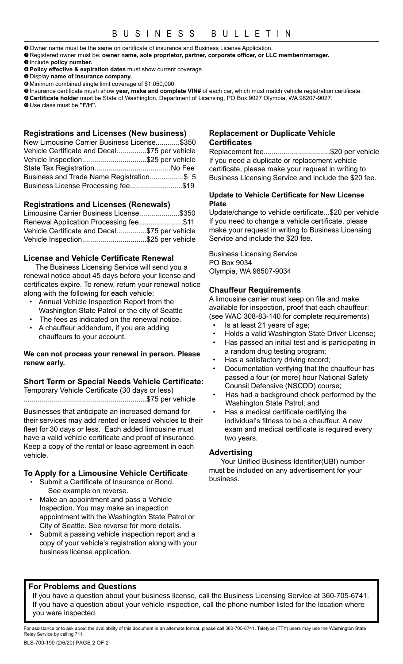**O** Owner name must be the same on certificate of insurance and Business License Application.

- YRegistered owner must be: **owner name, sole proprietor, partner, corporate officer, or LLC member/manager.**
- $\Theta$  Include **policy** number.
- [**Policy effective & expiration dates** must show current coverage.
- $\Theta$  Display name of insurance company.
- ]Minimum combined single limit coverage of \$1,050,000.
- ^Insurance certificate mush show **year, make and complete VIN#** of each car, which must match vehicle registration certificate.
- \_**Certificate holder** must be State of Washington, Department of Licensing, PO Box 9027 Olympia, WA 98207-9027.

`Use class must be **"F/H".**

### **Registrations and Licenses (New business)**

| New Limousine Carrier Business License\$350   |  |
|-----------------------------------------------|--|
| Vehicle Certificate and Decal\$75 per vehicle |  |
| Vehicle Inspection\$25 per vehicle            |  |
|                                               |  |
| Business and Trade Name Registration\$ 5      |  |
| Business License Processing fee\$19           |  |

### **Registrations and Licenses (Renewals)**

| Limousine Carrier Business License\$350       |  |
|-----------------------------------------------|--|
| Renewal Application Processing fee\$11        |  |
| Vehicle Certificate and Decal\$75 per vehicle |  |
| Vehicle Inspection\$25 per vehicle            |  |

### **License and Vehicle Certificate Renewal**

The Business Licensing Service will send you a renewal notice about 45 days before your license and certificates expire. To renew, return your renewal notice along with the following for **each** vehicle:

- Annual Vehicle Inspection Report from the Washington State Patrol or the city of Seattle
- The fees as indicated on the renewal notice.
- A chauffeur addendum, if you are adding chauffeurs to your account.

#### **We can not process your renewal in person. Please renew early.**

### **Short Term or Special Needs Vehicle Certificate:**

Temporary Vehicle Certificate (30 days or less) .............................................................\$75 per vehicle

Businesses that anticipate an increased demand for their services may add rented or leased vehicles to their fleet for 30 days or less. Each added limousine must have a valid vehicle certificate and proof of insurance. Keep a copy of the rental or lease agreement in each vehicle.

### **To Apply for a Limousine Vehicle Certificate**

- Submit a Certificate of Insurance or Bond. See example on reverse.
- Make an appointment and pass a Vehicle Inspection. You may make an inspection appointment with the Washington State Patrol or City of Seattle. See reverse for more details.
- Submit a passing vehicle inspection report and a copy of your vehicle's registration along with your business license application.

### **Replacement or Duplicate Vehicle Certificates**

Replacement fee................................\$20 per vehicle If you need a duplicate or replacement vehicle certificate, please make your request in writing to Business Licensing Service and include the \$20 fee.

### **Update to Vehicle Certificate for New License Plate**

Update/change to vehicle certificate...\$20 per vehicle If you need to change a vehicle certificate, please make your request in writing to Business Licensing Service and include the \$20 fee.

Business Licensing Service PO Box 9034 Olympia, WA 98507-9034

### **Chauffeur Requirements**

A limousine carrier must keep on file and make available for inspection, proof that each chauffeur: (see WAC 308-83-140 for complete requirements)

- Is at least 21 years of age;
- Holds a valid Washington State Driver License; • Has passed an initial test and is participating in
- a random drug testing program; • Has a satisfactory driving record;
- Documentation verifying that the chauffeur has passed a four (or more) hour National Safety Counsil Defensive (NSCDD) course;
- Has had a background check performed by the Washington State Patrol; and
- Has a medical certificate certifying the individual's fitness to be a chauffeur. A new exam and medical certificate is required every two years.

### **Advertising**

Your Unified Business Identifier(UBI) number must be included on any advertisement for your business.

### **For Problems and Questions**

If you have a question about your business license, call the Business Licensing Service at 360-705-6741. If you have a question about your vehicle inspection, call the phone number listed for the location where you were inspected.

BLS-700-190 (2/6/20) PAGE 2 OF 2 For assistance or to ask about the availability of this document in an alternate format, please call 360-705-6741. Teletype (TTY) users may use the Washington State Relay Service by calling 711.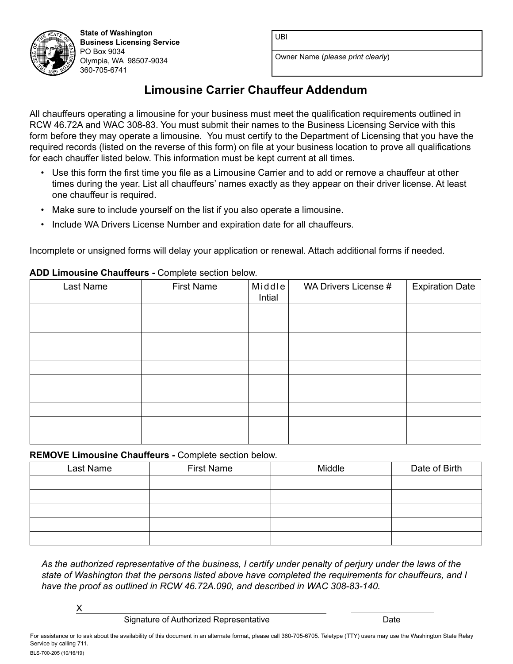UBI



Owner Name (*please print clearly*)

# **Limousine Carrier Chauffeur Addendum**

All chauffeurs operating a limousine for your business must meet the qualification requirements outlined in RCW 46.72A and WAC 308-83. You must submit their names to the Business Licensing Service with this form before they may operate a limousine. You must certify to the Department of Licensing that you have the required records (listed on the reverse of this form) on file at your business location to prove all qualifications for each chauffer listed below. This information must be kept current at all times.

- Use this form the first time you file as a Limousine Carrier and to add or remove a chauffeur at other times during the year. List all chauffeurs' names exactly as they appear on their driver license. At least one chauffeur is required.
- Make sure to include yourself on the list if you also operate a limousine.
- Include WA Drivers License Number and expiration date for all chauffeurs.

Incomplete or unsigned forms will delay your application or renewal. Attach additional forms if needed.

### **ADD Limousine Chauffeurs -** Complete section below.

**State of Washington Business Licensing Service**

Olympia, WA 98507-9034

PO Box 9034

360-705-6741

| Last Name | <b>First Name</b> | Middle<br>Intial | WA Drivers License # | <b>Expiration Date</b> |
|-----------|-------------------|------------------|----------------------|------------------------|
|           |                   |                  |                      |                        |
|           |                   |                  |                      |                        |
|           |                   |                  |                      |                        |
|           |                   |                  |                      |                        |
|           |                   |                  |                      |                        |
|           |                   |                  |                      |                        |
|           |                   |                  |                      |                        |
|           |                   |                  |                      |                        |
|           |                   |                  |                      |                        |
|           |                   |                  |                      |                        |

### **REMOVE Limousine Chauffeurs -** Complete section below.

| Last Name | <b>First Name</b> | Middle | Date of Birth |
|-----------|-------------------|--------|---------------|
|           |                   |        |               |
|           |                   |        |               |
|           |                   |        |               |
|           |                   |        |               |
|           |                   |        |               |

*As the authorized representative of the business, I certify under penalty of perjury under the laws of the state of Washington that the persons listed above have completed the requirements for chauffeurs, and I have the proof as outlined in RCW 46.72A.090, and described in WAC 308-83-140.*

X

Signature of Authorized Representative **Date** Date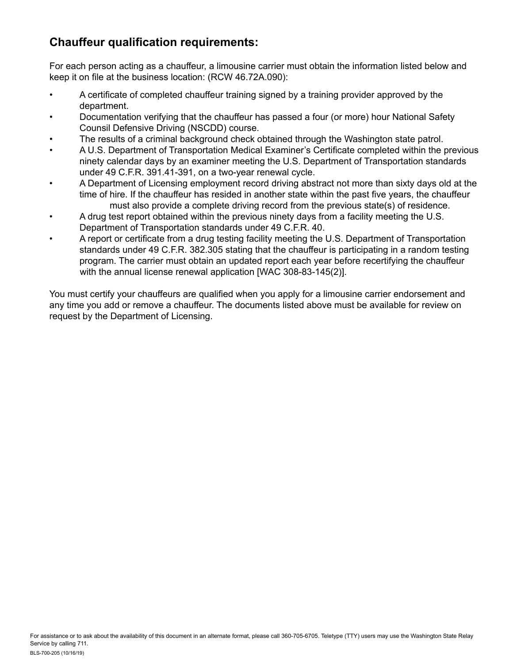# **Chauffeur qualification requirements:**

For each person acting as a chauffeur, a limousine carrier must obtain the information listed below and keep it on file at the business location: (RCW 46.72A.090):

- A certificate of completed chauffeur training signed by a training provider approved by the department.
- Documentation verifying that the chauffeur has passed a four (or more) hour National Safety Counsil Defensive Driving (NSCDD) course.
- The results of a criminal background check obtained through the Washington state patrol.
- A U.S. Department of Transportation Medical Examiner's Certificate completed within the previous ninety calendar days by an examiner meeting the U.S. Department of Transportation standards under 49 C.F.R. 391.41-391, on a two-year renewal cycle.
- A Department of Licensing employment record driving abstract not more than sixty days old at the time of hire. If the chauffeur has resided in another state within the past five years, the chauffeur must also provide a complete driving record from the previous state(s) of residence.
- A drug test report obtained within the previous ninety days from a facility meeting the U.S. Department of Transportation standards under 49 C.F.R. 40.
- A report or certificate from a drug testing facility meeting the U.S. Department of Transportation standards under 49 C.F.R. 382.305 stating that the chauffeur is participating in a random testing program. The carrier must obtain an updated report each year before recertifying the chauffeur with the annual license renewal application [WAC 308-83-145(2)].

You must certify your chauffeurs are qualified when you apply for a limousine carrier endorsement and any time you add or remove a chauffeur. The documents listed above must be available for review on request by the Department of Licensing.